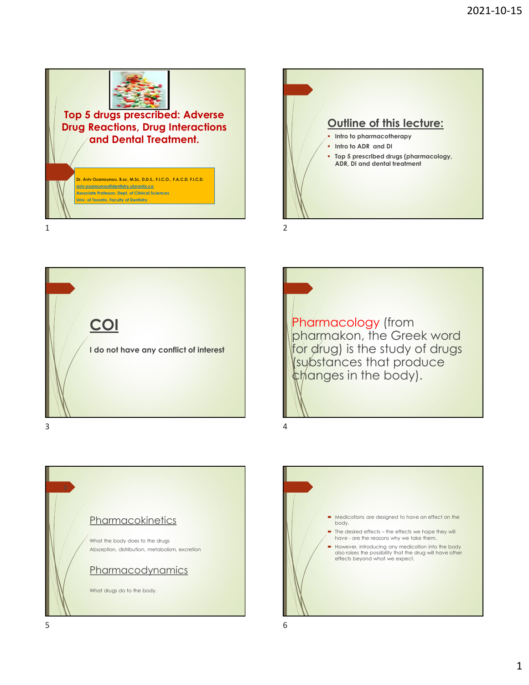

## Top 5 drugs prescribed: Adverse Drug Reactions, Drug Interactions

Associate Professor, Dept. of Clinical Sciences Univ. of Toronto, Faculty of Dentistry





Pharmacology (from pharmakon, the Greek word for drug) is the study of drugs (substances that produce changes in the body).



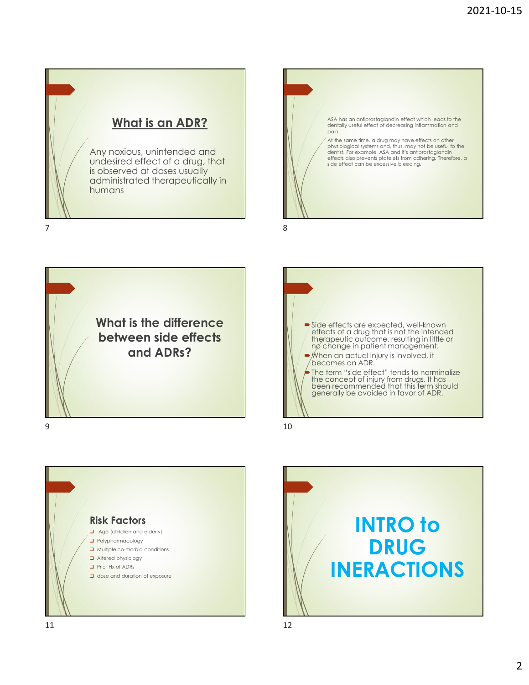



What is the difference between side effects

**and ADRs?**  $\bullet$  **Side effects** are expected, well-known<br> **and ADRs?**  $\bullet$  **Side effects** of a drug that is not the intended<br> **and ADRs?**  $\bullet$  *Mhen an actual injury is involved, it* effects of a drug that is not the intended<br>therapeutic outcome, resulting in little or<br>nø change in patient management. ■ When an actual injury is involved, it becomes an ADR. The term "side effect" tends to norminalize the concept of injury from drugs. It has been recommended that this term should generally be avoided in favor of ADR. 9 10



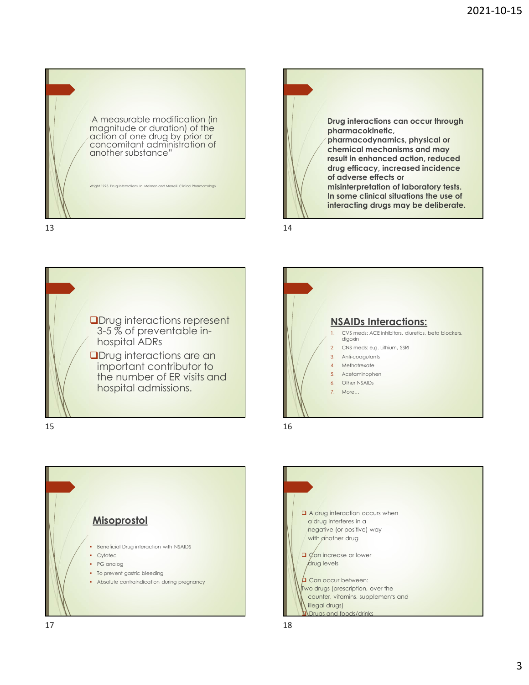











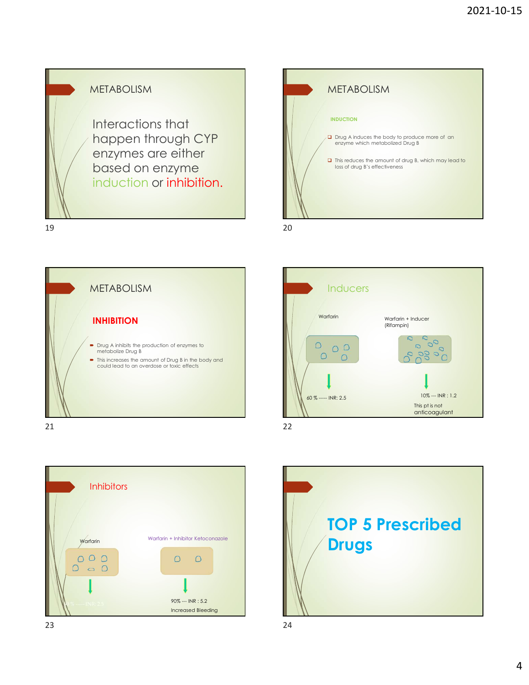









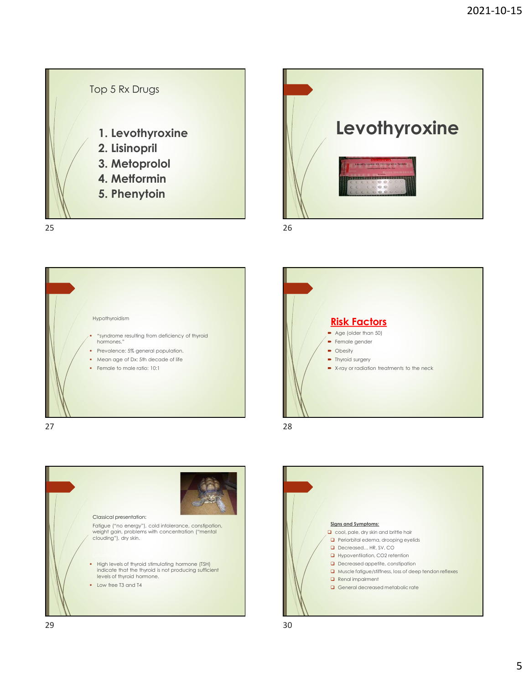









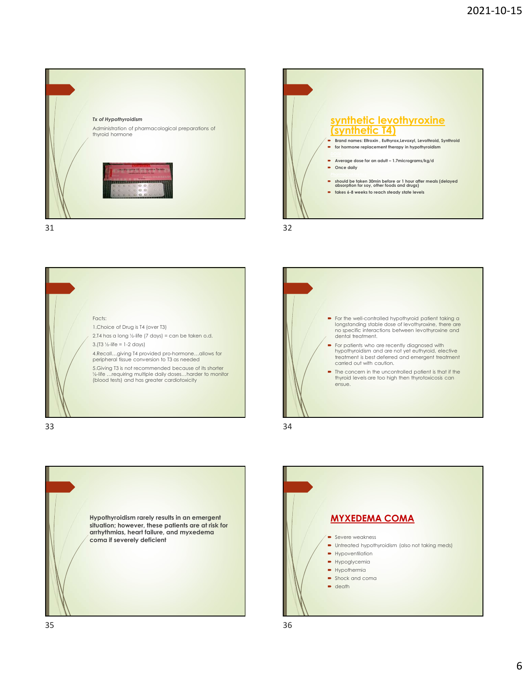









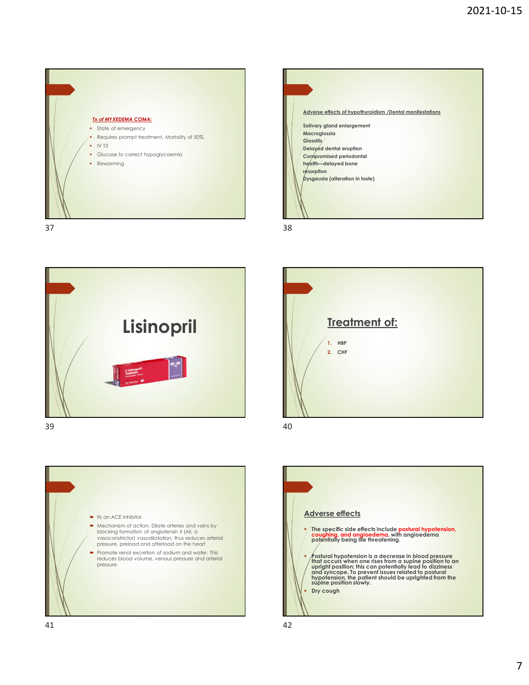









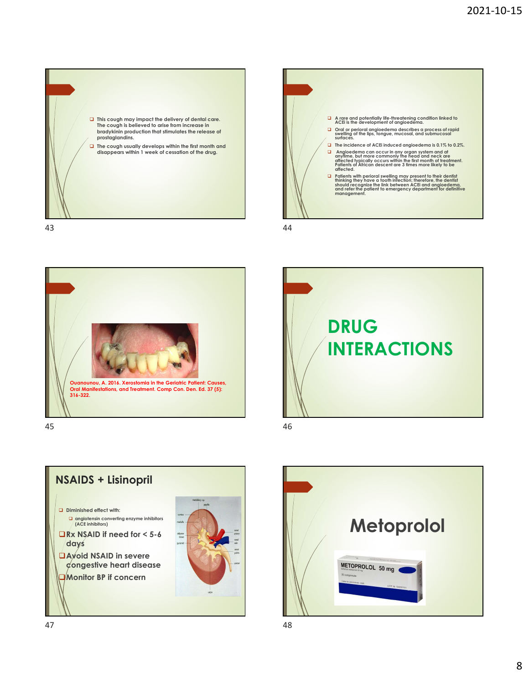









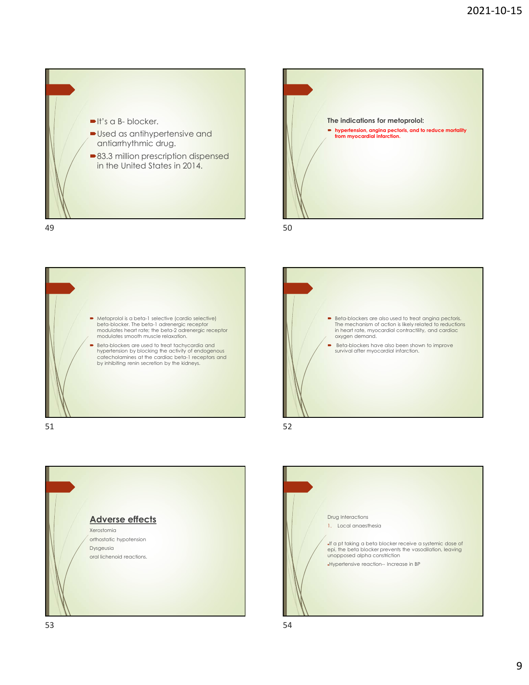









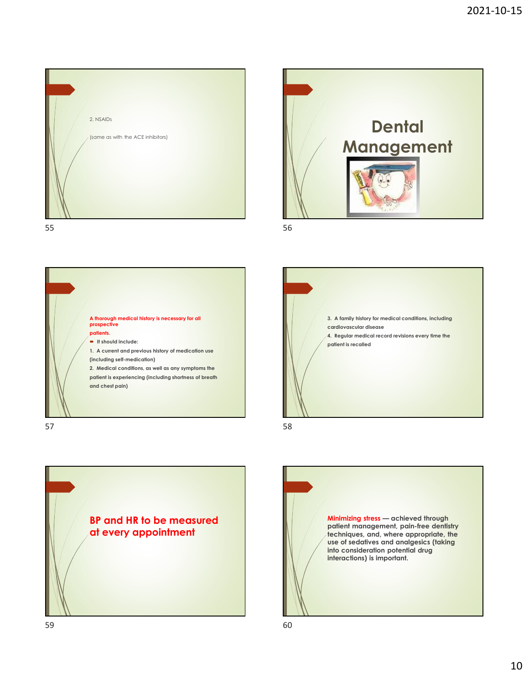









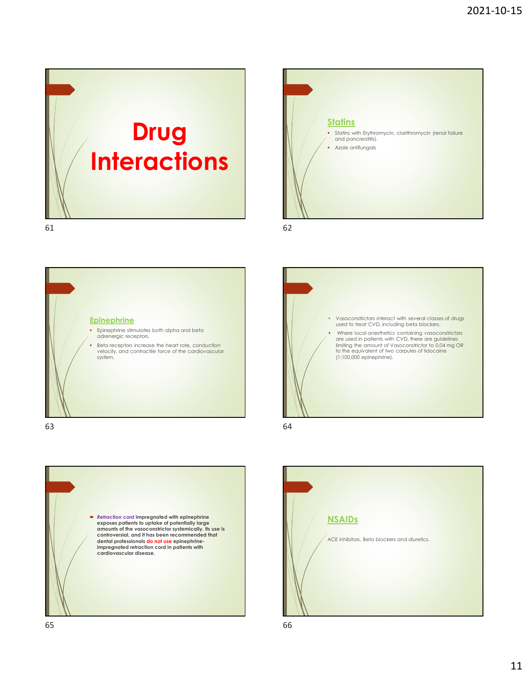



**Epinephrine Epinephrine stimulates both alpha and beta** adrenergic receptors. Beta receptors increase the heart rate, conduction velocity, and contractile force of the cardiovascular







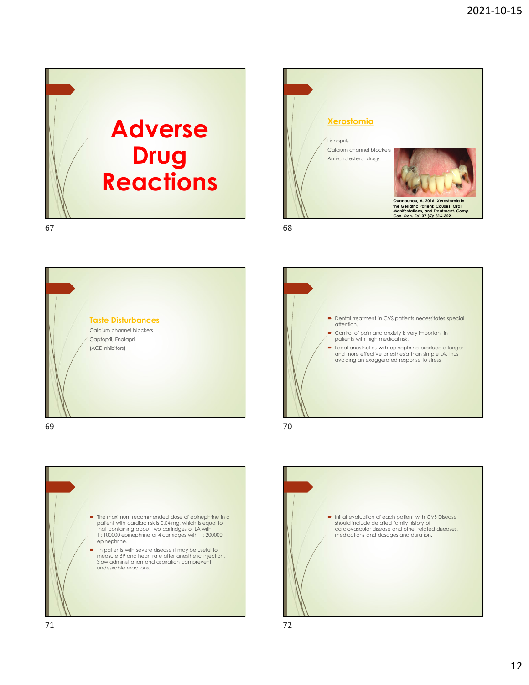













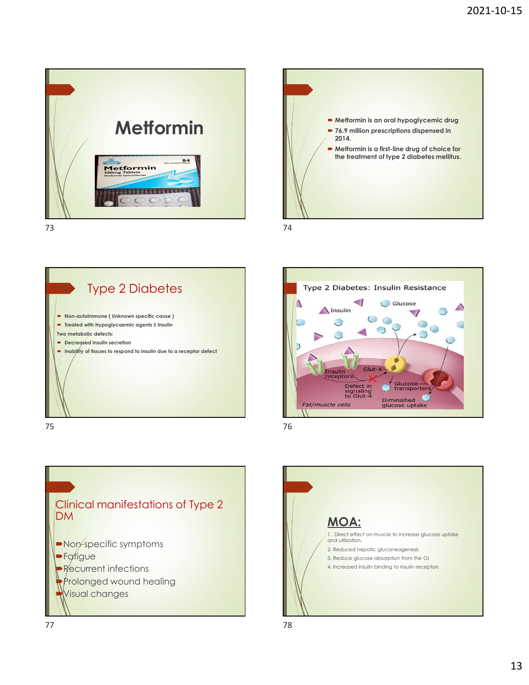









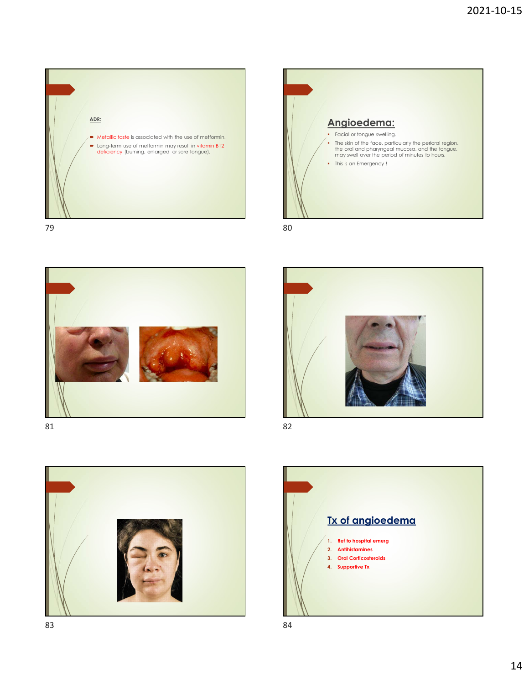









Tx of angioedema 1. Ref to hospital emerg 2. Antihistamines 3. Oral Corticosteroids 4. Supportive Tx

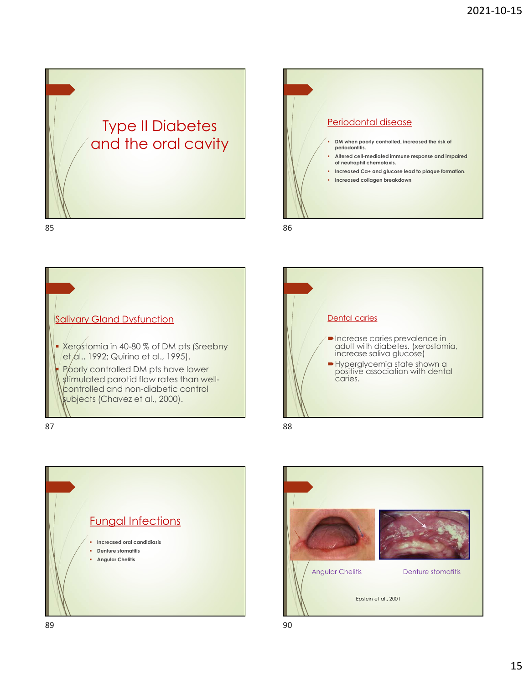













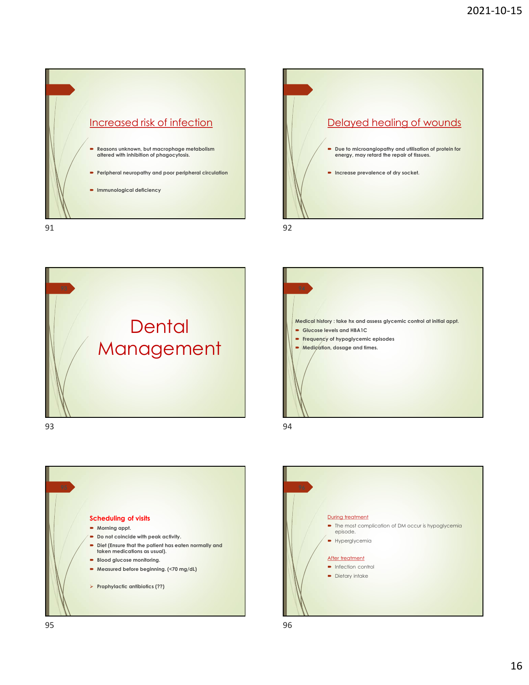









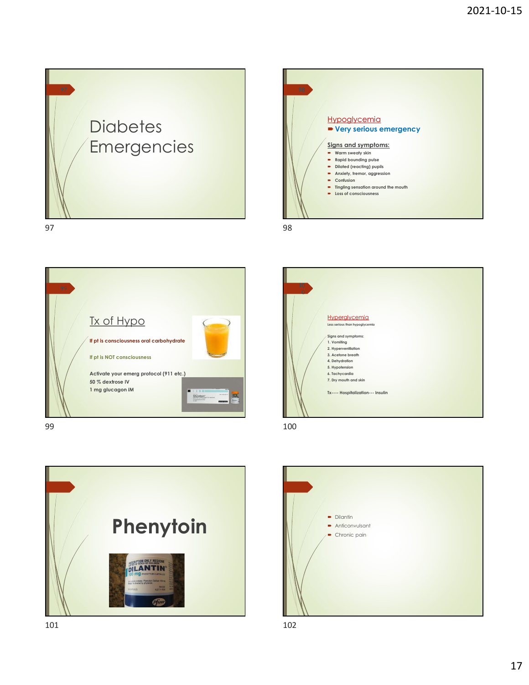













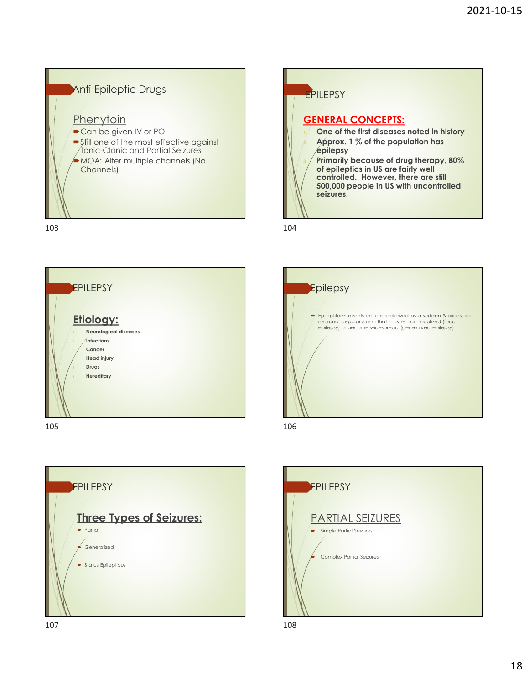













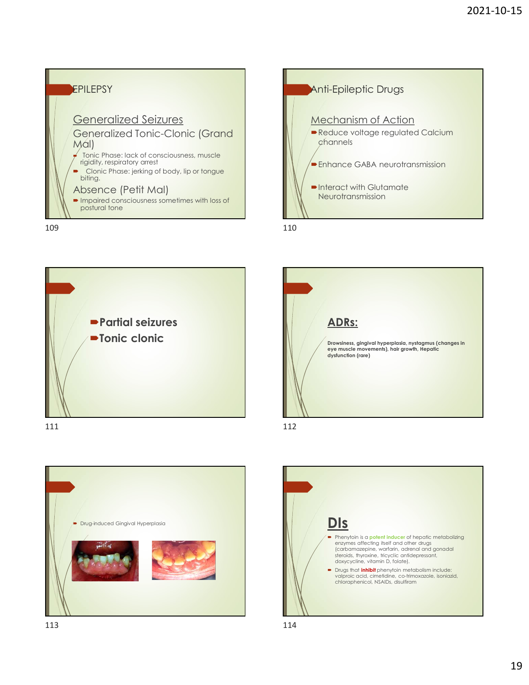











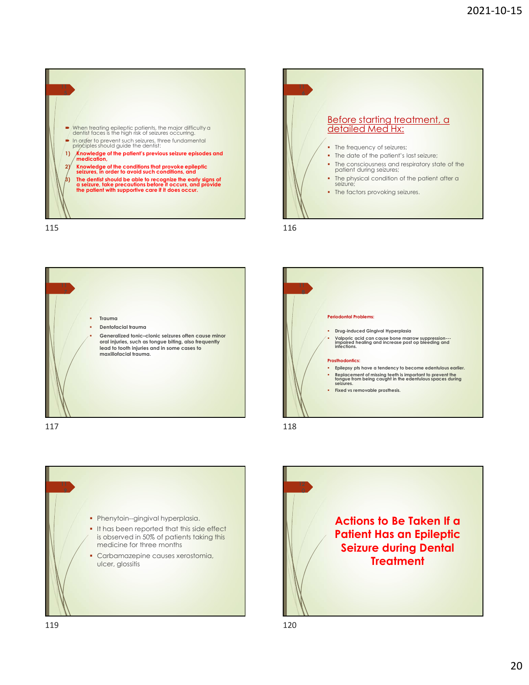

![](_page_19_Figure_2.jpeg)

![](_page_19_Figure_3.jpeg)

111 - Andrew March 1986, a change of the control of the control of the control of the control of the control of

- seizure;
- The factors provoking seizures.

![](_page_19_Figure_7.jpeg)

![](_page_19_Figure_9.jpeg)

![](_page_19_Figure_11.jpeg)

![](_page_19_Figure_12.jpeg)